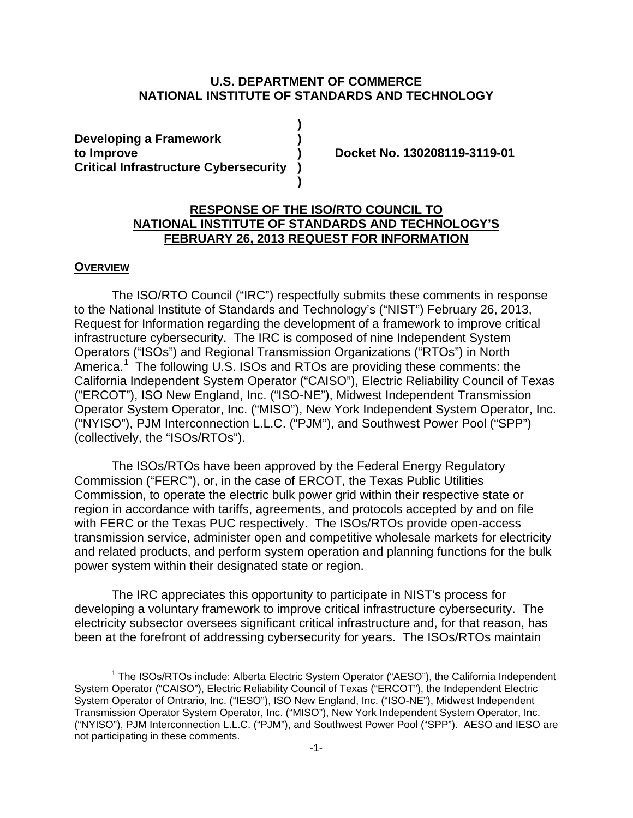#### **U.S. DEPARTMENT OF COMMERCE NATIONAL INSTITUTE OF STANDARDS AND TECHNOLOGY**

**)**

**)**

**Developing a Framework ) to Improve ) Docket No. 130208119-3119-01 Critical Infrastructure Cybersecurity )**

## **RESPONSE OF THE ISO/RTO COUNCIL TO NATIONAL INSTITUTE OF STANDARDS AND TECHNOLOGY'S FEBRUARY 26, 2013 REQUEST FOR INFORMATION**

#### **OVERVIEW**

 $\overline{a}$ 

The ISO/RTO Council ("IRC") respectfully submits these comments in response to the National Institute of Standards and Technology's ("NIST") February 26, 2013, Request for Information regarding the development of a framework to improve critical infrastructure cybersecurity. The IRC is composed of nine Independent System Operators ("ISOs") and Regional Transmission Organizations ("RTOs") in North America.<sup>[1](#page-0-0)</sup> The following U.S. ISOs and RTOs are providing these comments: the California Independent System Operator ("CAISO"), Electric Reliability Council of Texas ("ERCOT"), ISO New England, Inc. ("ISO-NE"), Midwest Independent Transmission Operator System Operator, Inc. ("MISO"), New York Independent System Operator, Inc. ("NYISO"), PJM Interconnection L.L.C. ("PJM"), and Southwest Power Pool ("SPP") (collectively, the "ISOs/RTOs").

The ISOs/RTOs have been approved by the Federal Energy Regulatory Commission ("FERC"), or, in the case of ERCOT, the Texas Public Utilities Commission, to operate the electric bulk power grid within their respective state or region in accordance with tariffs, agreements, and protocols accepted by and on file with FERC or the Texas PUC respectively. The ISOs/RTOs provide open-access transmission service, administer open and competitive wholesale markets for electricity and related products, and perform system operation and planning functions for the bulk power system within their designated state or region.

The IRC appreciates this opportunity to participate in NIST's process for developing a voluntary framework to improve critical infrastructure cybersecurity. The electricity subsector oversees significant critical infrastructure and, for that reason, has been at the forefront of addressing cybersecurity for years. The ISOs/RTOs maintain

<span id="page-0-0"></span> $1$  The ISOs/RTOs include: Alberta Electric System Operator ("AESO"), the California Independent System Operator ("CAISO"), Electric Reliability Council of Texas ("ERCOT"), the Independent Electric System Operator of Ontrario, Inc. ("IESO"), ISO New England, Inc. ("ISO-NE"), Midwest Independent Transmission Operator System Operator, Inc. ("MISO"), New York Independent System Operator, Inc. ("NYISO"), PJM Interconnection L.L.C. ("PJM"), and Southwest Power Pool ("SPP"). AESO and IESO are not participating in these comments.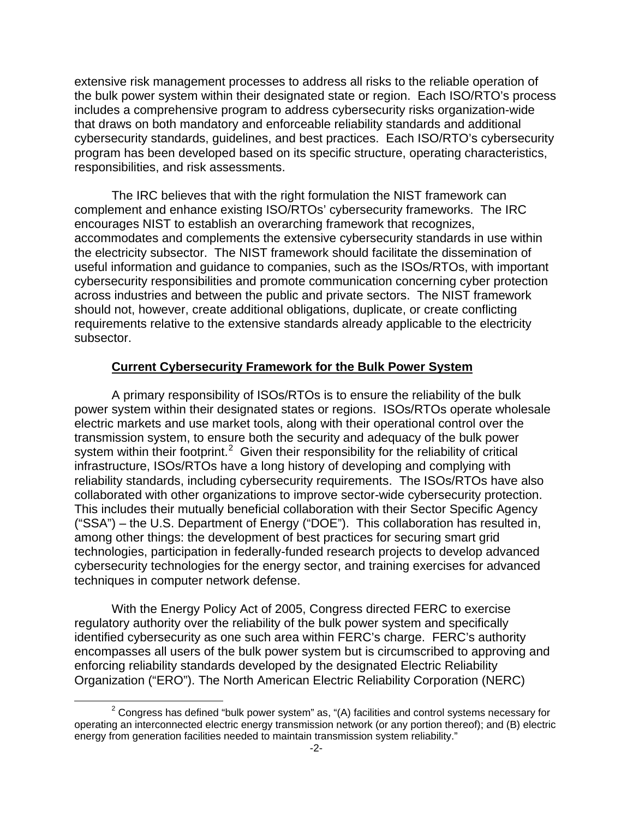extensive risk management processes to address all risks to the reliable operation of the bulk power system within their designated state or region. Each ISO/RTO's process includes a comprehensive program to address cybersecurity risks organization-wide that draws on both mandatory and enforceable reliability standards and additional cybersecurity standards, guidelines, and best practices. Each ISO/RTO's cybersecurity program has been developed based on its specific structure, operating characteristics, responsibilities, and risk assessments.

The IRC believes that with the right formulation the NIST framework can complement and enhance existing ISO/RTOs' cybersecurity frameworks. The IRC encourages NIST to establish an overarching framework that recognizes, accommodates and complements the extensive cybersecurity standards in use within the electricity subsector. The NIST framework should facilitate the dissemination of useful information and guidance to companies, such as the ISOs/RTOs, with important cybersecurity responsibilities and promote communication concerning cyber protection across industries and between the public and private sectors. The NIST framework should not, however, create additional obligations, duplicate, or create conflicting requirements relative to the extensive standards already applicable to the electricity subsector.

### **Current Cybersecurity Framework for the Bulk Power System**

A primary responsibility of ISOs/RTOs is to ensure the reliability of the bulk power system within their designated states or regions. ISOs/RTOs operate wholesale electric markets and use market tools, along with their operational control over the transmission system, to ensure both the security and adequacy of the bulk power system within their footprint.<sup>[2](#page-1-0)</sup> Given their responsibility for the reliability of critical infrastructure, ISOs/RTOs have a long history of developing and complying with reliability standards, including cybersecurity requirements. The ISOs/RTOs have also collaborated with other organizations to improve sector-wide cybersecurity protection. This includes their mutually beneficial collaboration with their Sector Specific Agency ("SSA") – the U.S. Department of Energy ("DOE"). This collaboration has resulted in, among other things: the development of best practices for securing smart grid technologies, participation in federally-funded research projects to develop advanced cybersecurity technologies for the energy sector, and training exercises for advanced techniques in computer network defense.

With the Energy Policy Act of 2005, Congress directed FERC to exercise regulatory authority over the reliability of the bulk power system and specifically identified cybersecurity as one such area within FERC's charge. FERC's authority encompasses all users of the bulk power system but is circumscribed to approving and enforcing reliability standards developed by the designated Electric Reliability Organization ("ERO"). The North American Electric Reliability Corporation (NERC)

<span id="page-1-0"></span> $2$  Congress has defined "bulk power system" as, "(A) facilities and control systems necessary for operating an interconnected electric energy transmission network (or any portion thereof); and (B) electric energy from generation facilities needed to maintain transmission system reliability."  $\overline{a}$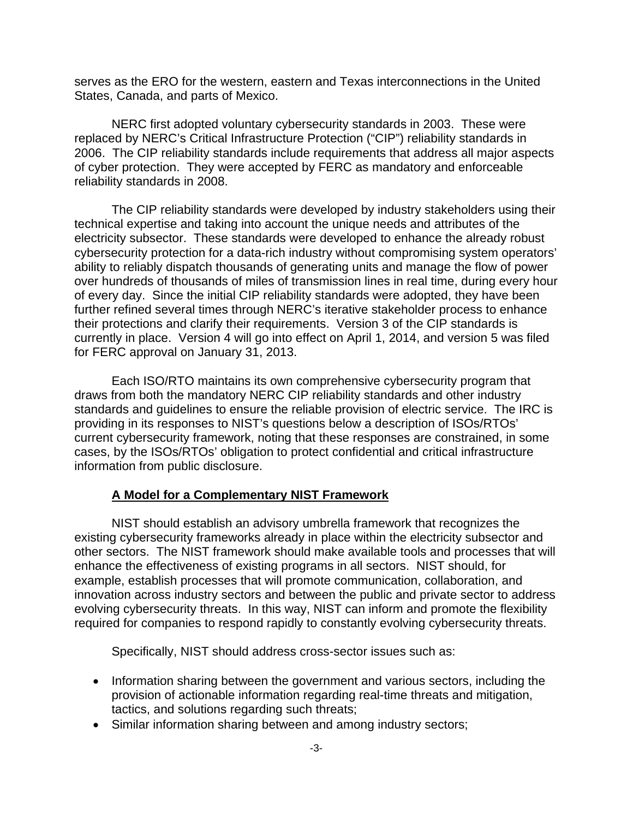serves as the ERO for the western, eastern and Texas interconnections in the United States, Canada, and parts of Mexico.

NERC first adopted voluntary cybersecurity standards in 2003. These were replaced by NERC's Critical Infrastructure Protection ("CIP") reliability standards in 2006. The CIP reliability standards include requirements that address all major aspects of cyber protection. They were accepted by FERC as mandatory and enforceable reliability standards in 2008.

The CIP reliability standards were developed by industry stakeholders using their technical expertise and taking into account the unique needs and attributes of the electricity subsector. These standards were developed to enhance the already robust cybersecurity protection for a data-rich industry without compromising system operators' ability to reliably dispatch thousands of generating units and manage the flow of power over hundreds of thousands of miles of transmission lines in real time, during every hour of every day. Since the initial CIP reliability standards were adopted, they have been further refined several times through NERC's iterative stakeholder process to enhance their protections and clarify their requirements. Version 3 of the CIP standards is currently in place. Version 4 will go into effect on April 1, 2014, and version 5 was filed for FERC approval on January 31, 2013.

Each ISO/RTO maintains its own comprehensive cybersecurity program that draws from both the mandatory NERC CIP reliability standards and other industry standards and guidelines to ensure the reliable provision of electric service. The IRC is providing in its responses to NIST's questions below a description of ISOs/RTOs' current cybersecurity framework, noting that these responses are constrained, in some cases, by the ISOs/RTOs' obligation to protect confidential and critical infrastructure information from public disclosure.

### **A Model for a Complementary NIST Framework**

NIST should establish an advisory umbrella framework that recognizes the existing cybersecurity frameworks already in place within the electricity subsector and other sectors. The NIST framework should make available tools and processes that will enhance the effectiveness of existing programs in all sectors. NIST should, for example, establish processes that will promote communication, collaboration, and innovation across industry sectors and between the public and private sector to address evolving cybersecurity threats. In this way, NIST can inform and promote the flexibility required for companies to respond rapidly to constantly evolving cybersecurity threats.

Specifically, NIST should address cross-sector issues such as:

- Information sharing between the government and various sectors, including the provision of actionable information regarding real-time threats and mitigation, tactics, and solutions regarding such threats;
- Similar information sharing between and among industry sectors;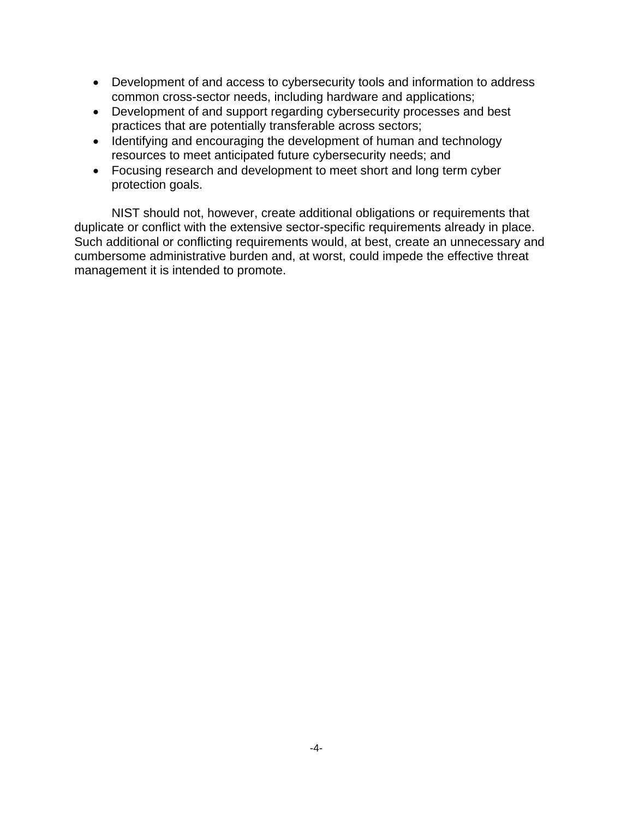- Development of and access to cybersecurity tools and information to address common cross-sector needs, including hardware and applications;
- Development of and support regarding cybersecurity processes and best practices that are potentially transferable across sectors;
- Identifying and encouraging the development of human and technology resources to meet anticipated future cybersecurity needs; and
- Focusing research and development to meet short and long term cyber protection goals.

NIST should not, however, create additional obligations or requirements that duplicate or conflict with the extensive sector-specific requirements already in place. Such additional or conflicting requirements would, at best, create an unnecessary and cumbersome administrative burden and, at worst, could impede the effective threat management it is intended to promote.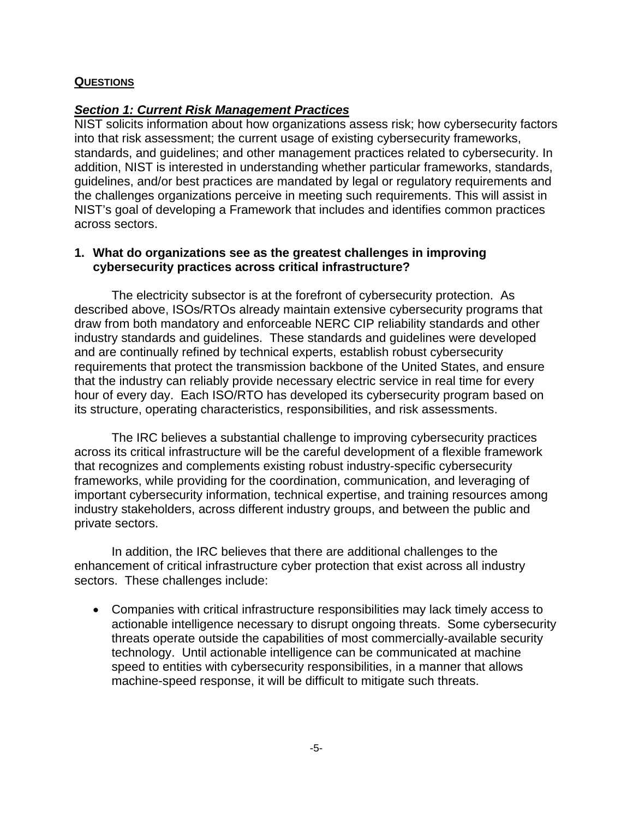## **QUESTIONS**

## *Section 1: Current Risk Management Practices*

NIST solicits information about how organizations assess risk; how cybersecurity factors into that risk assessment; the current usage of existing cybersecurity frameworks, standards, and guidelines; and other management practices related to cybersecurity. In addition, NIST is interested in understanding whether particular frameworks, standards, guidelines, and/or best practices are mandated by legal or regulatory requirements and the challenges organizations perceive in meeting such requirements. This will assist in NIST's goal of developing a Framework that includes and identifies common practices across sectors.

## **1. What do organizations see as the greatest challenges in improving cybersecurity practices across critical infrastructure?**

The electricity subsector is at the forefront of cybersecurity protection. As described above, ISOs/RTOs already maintain extensive cybersecurity programs that draw from both mandatory and enforceable NERC CIP reliability standards and other industry standards and guidelines. These standards and guidelines were developed and are continually refined by technical experts, establish robust cybersecurity requirements that protect the transmission backbone of the United States, and ensure that the industry can reliably provide necessary electric service in real time for every hour of every day. Each ISO/RTO has developed its cybersecurity program based on its structure, operating characteristics, responsibilities, and risk assessments.

The IRC believes a substantial challenge to improving cybersecurity practices across its critical infrastructure will be the careful development of a flexible framework that recognizes and complements existing robust industry-specific cybersecurity frameworks, while providing for the coordination, communication, and leveraging of important cybersecurity information, technical expertise, and training resources among industry stakeholders, across different industry groups, and between the public and private sectors.

In addition, the IRC believes that there are additional challenges to the enhancement of critical infrastructure cyber protection that exist across all industry sectors. These challenges include:

• Companies with critical infrastructure responsibilities may lack timely access to actionable intelligence necessary to disrupt ongoing threats. Some cybersecurity threats operate outside the capabilities of most commercially-available security technology. Until actionable intelligence can be communicated at machine speed to entities with cybersecurity responsibilities, in a manner that allows machine-speed response, it will be difficult to mitigate such threats.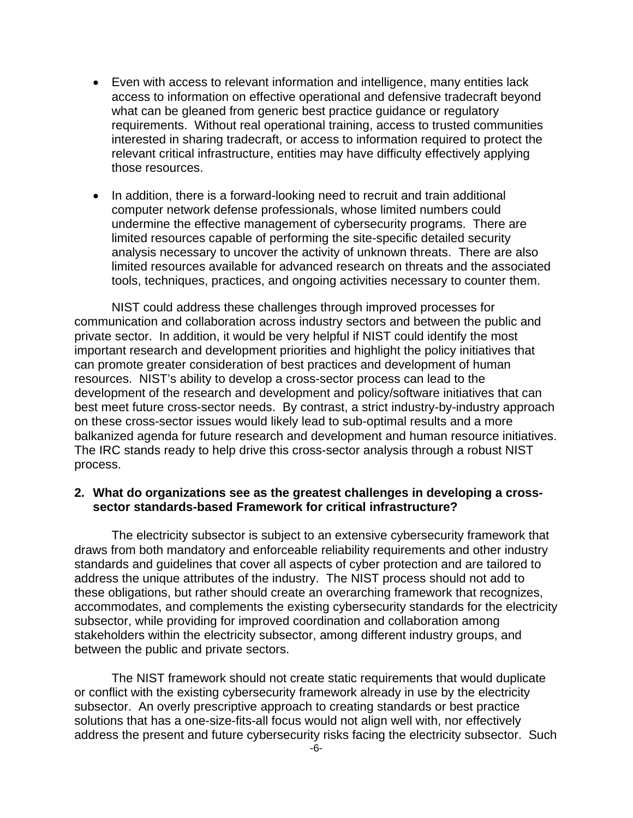- Even with access to relevant information and intelligence, many entities lack access to information on effective operational and defensive tradecraft beyond what can be gleaned from generic best practice guidance or regulatory requirements. Without real operational training, access to trusted communities interested in sharing tradecraft, or access to information required to protect the relevant critical infrastructure, entities may have difficulty effectively applying those resources.
- In addition, there is a forward-looking need to recruit and train additional computer network defense professionals, whose limited numbers could undermine the effective management of cybersecurity programs. There are limited resources capable of performing the site-specific detailed security analysis necessary to uncover the activity of unknown threats. There are also limited resources available for advanced research on threats and the associated tools, techniques, practices, and ongoing activities necessary to counter them.

NIST could address these challenges through improved processes for communication and collaboration across industry sectors and between the public and private sector. In addition, it would be very helpful if NIST could identify the most important research and development priorities and highlight the policy initiatives that can promote greater consideration of best practices and development of human resources. NIST's ability to develop a cross-sector process can lead to the development of the research and development and policy/software initiatives that can best meet future cross-sector needs. By contrast, a strict industry-by-industry approach on these cross-sector issues would likely lead to sub-optimal results and a more balkanized agenda for future research and development and human resource initiatives. The IRC stands ready to help drive this cross-sector analysis through a robust NIST process.

## **2. What do organizations see as the greatest challenges in developing a crosssector standards-based Framework for critical infrastructure?**

The electricity subsector is subject to an extensive cybersecurity framework that draws from both mandatory and enforceable reliability requirements and other industry standards and guidelines that cover all aspects of cyber protection and are tailored to address the unique attributes of the industry. The NIST process should not add to these obligations, but rather should create an overarching framework that recognizes, accommodates, and complements the existing cybersecurity standards for the electricity subsector, while providing for improved coordination and collaboration among stakeholders within the electricity subsector, among different industry groups, and between the public and private sectors.

The NIST framework should not create static requirements that would duplicate or conflict with the existing cybersecurity framework already in use by the electricity subsector. An overly prescriptive approach to creating standards or best practice solutions that has a one-size-fits-all focus would not align well with, nor effectively address the present and future cybersecurity risks facing the electricity subsector. Such -6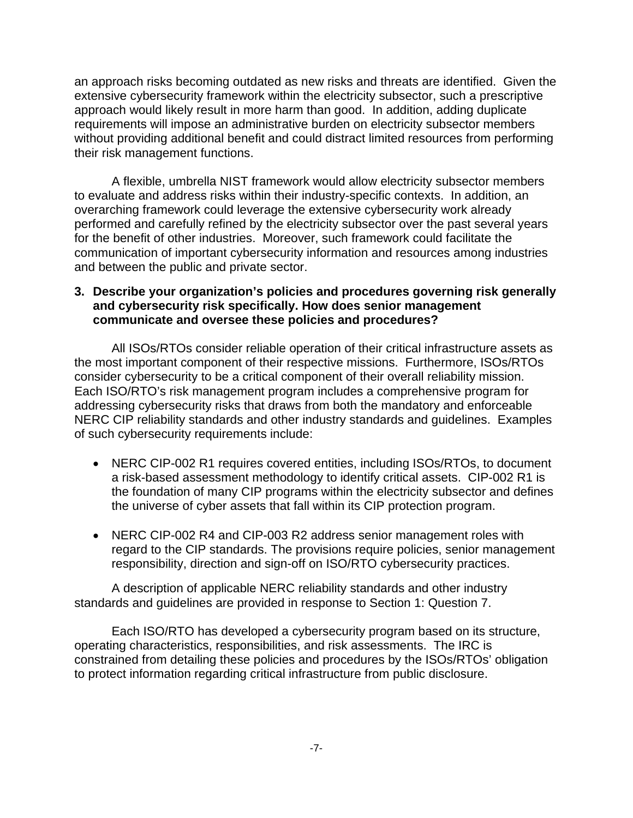an approach risks becoming outdated as new risks and threats are identified. Given the extensive cybersecurity framework within the electricity subsector, such a prescriptive approach would likely result in more harm than good. In addition, adding duplicate requirements will impose an administrative burden on electricity subsector members without providing additional benefit and could distract limited resources from performing their risk management functions.

A flexible, umbrella NIST framework would allow electricity subsector members to evaluate and address risks within their industry-specific contexts. In addition, an overarching framework could leverage the extensive cybersecurity work already performed and carefully refined by the electricity subsector over the past several years for the benefit of other industries. Moreover, such framework could facilitate the communication of important cybersecurity information and resources among industries and between the public and private sector.

## **3. Describe your organization's policies and procedures governing risk generally and cybersecurity risk specifically. How does senior management communicate and oversee these policies and procedures?**

All ISOs/RTOs consider reliable operation of their critical infrastructure assets as the most important component of their respective missions. Furthermore, ISOs/RTOs consider cybersecurity to be a critical component of their overall reliability mission. Each ISO/RTO's risk management program includes a comprehensive program for addressing cybersecurity risks that draws from both the mandatory and enforceable NERC CIP reliability standards and other industry standards and guidelines. Examples of such cybersecurity requirements include:

- NERC CIP-002 R1 requires covered entities, including ISOs/RTOs, to document a risk-based assessment methodology to identify critical assets. CIP-002 R1 is the foundation of many CIP programs within the electricity subsector and defines the universe of cyber assets that fall within its CIP protection program.
- NERC CIP-002 R4 and CIP-003 R2 address senior management roles with regard to the CIP standards. The provisions require policies, senior management responsibility, direction and sign-off on ISO/RTO cybersecurity practices.

A description of applicable NERC reliability standards and other industry standards and guidelines are provided in response to Section 1: Question 7.

Each ISO/RTO has developed a cybersecurity program based on its structure, operating characteristics, responsibilities, and risk assessments. The IRC is constrained from detailing these policies and procedures by the ISOs/RTOs' obligation to protect information regarding critical infrastructure from public disclosure.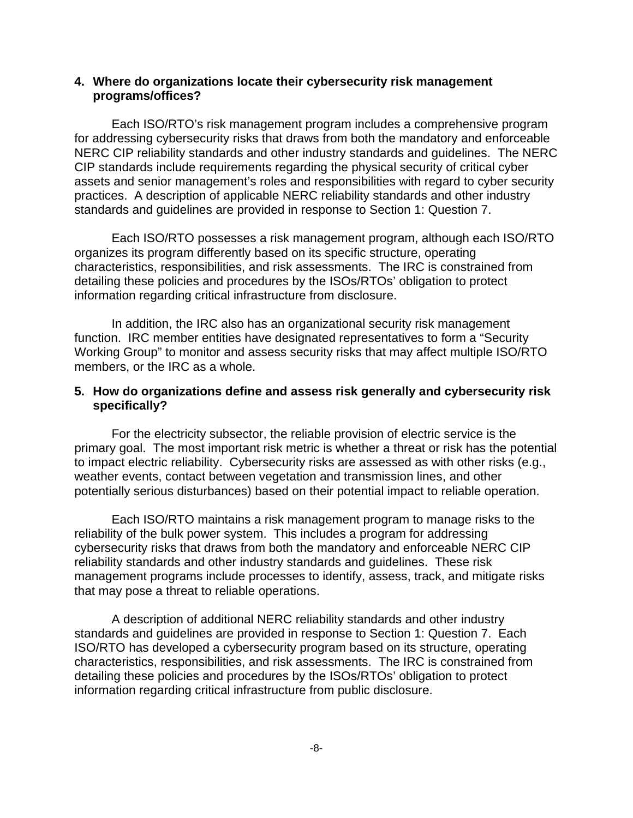## **4. Where do organizations locate their cybersecurity risk management programs/offices?**

Each ISO/RTO's risk management program includes a comprehensive program for addressing cybersecurity risks that draws from both the mandatory and enforceable NERC CIP reliability standards and other industry standards and guidelines. The NERC CIP standards include requirements regarding the physical security of critical cyber assets and senior management's roles and responsibilities with regard to cyber security practices. A description of applicable NERC reliability standards and other industry standards and guidelines are provided in response to Section 1: Question 7.

Each ISO/RTO possesses a risk management program, although each ISO/RTO organizes its program differently based on its specific structure, operating characteristics, responsibilities, and risk assessments. The IRC is constrained from detailing these policies and procedures by the ISOs/RTOs' obligation to protect information regarding critical infrastructure from disclosure.

In addition, the IRC also has an organizational security risk management function. IRC member entities have designated representatives to form a "Security Working Group" to monitor and assess security risks that may affect multiple ISO/RTO members, or the IRC as a whole.

## **5. How do organizations define and assess risk generally and cybersecurity risk specifically?**

For the electricity subsector, the reliable provision of electric service is the primary goal. The most important risk metric is whether a threat or risk has the potential to impact electric reliability. Cybersecurity risks are assessed as with other risks (e.g., weather events, contact between vegetation and transmission lines, and other potentially serious disturbances) based on their potential impact to reliable operation.

Each ISO/RTO maintains a risk management program to manage risks to the reliability of the bulk power system. This includes a program for addressing cybersecurity risks that draws from both the mandatory and enforceable NERC CIP reliability standards and other industry standards and guidelines. These risk management programs include processes to identify, assess, track, and mitigate risks that may pose a threat to reliable operations.

A description of additional NERC reliability standards and other industry standards and guidelines are provided in response to Section 1: Question 7. Each ISO/RTO has developed a cybersecurity program based on its structure, operating characteristics, responsibilities, and risk assessments. The IRC is constrained from detailing these policies and procedures by the ISOs/RTOs' obligation to protect information regarding critical infrastructure from public disclosure.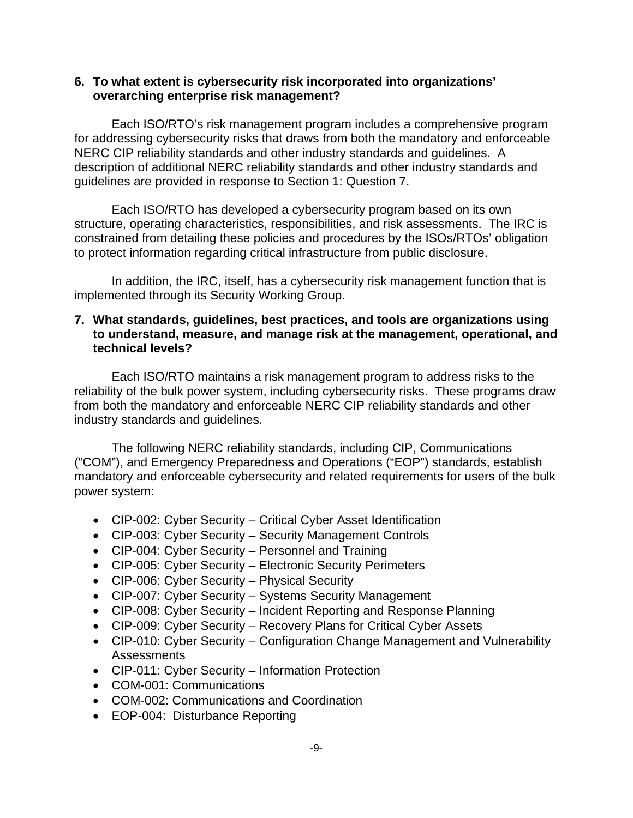## **6. To what extent is cybersecurity risk incorporated into organizations' overarching enterprise risk management?**

Each ISO/RTO's risk management program includes a comprehensive program for addressing cybersecurity risks that draws from both the mandatory and enforceable NERC CIP reliability standards and other industry standards and guidelines. A description of additional NERC reliability standards and other industry standards and guidelines are provided in response to Section 1: Question 7.

Each ISO/RTO has developed a cybersecurity program based on its own structure, operating characteristics, responsibilities, and risk assessments. The IRC is constrained from detailing these policies and procedures by the ISOs/RTOs' obligation to protect information regarding critical infrastructure from public disclosure.

In addition, the IRC, itself, has a cybersecurity risk management function that is implemented through its Security Working Group.

#### **7. What standards, guidelines, best practices, and tools are organizations using to understand, measure, and manage risk at the management, operational, and technical levels?**

Each ISO/RTO maintains a risk management program to address risks to the reliability of the bulk power system, including cybersecurity risks. These programs draw from both the mandatory and enforceable NERC CIP reliability standards and other industry standards and guidelines.

The following NERC reliability standards, including CIP, Communications ("COM"), and Emergency Preparedness and Operations ("EOP") standards, establish mandatory and enforceable cybersecurity and related requirements for users of the bulk power system:

- CIP-002: Cyber Security Critical Cyber Asset Identification
- CIP-003: Cyber Security Security Management Controls
- CIP-004: Cyber Security Personnel and Training
- CIP-005: Cyber Security Electronic Security Perimeters
- CIP-006: Cyber Security Physical Security
- CIP-007: Cyber Security Systems Security Management
- CIP-008: Cyber Security Incident Reporting and Response Planning
- CIP-009: Cyber Security Recovery Plans for Critical Cyber Assets
- CIP-010: Cyber Security Configuration Change Management and Vulnerability Assessments
- CIP-011: Cyber Security Information Protection
- COM-001: Communications
- COM-002: Communications and Coordination
- EOP-004: Disturbance Reporting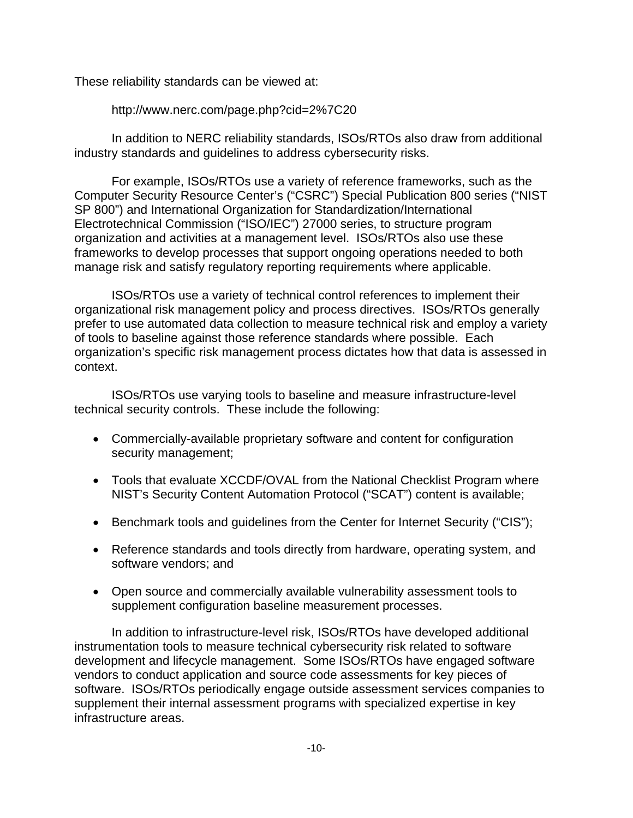These reliability standards can be viewed at:

http://www.nerc.com/page.php?cid=2%7C20

In addition to NERC reliability standards, ISOs/RTOs also draw from additional industry standards and guidelines to address cybersecurity risks.

For example, ISOs/RTOs use a variety of reference frameworks, such as the Computer Security Resource Center's ("CSRC") Special Publication 800 series ("NIST SP 800") and International Organization for Standardization/International Electrotechnical Commission ("ISO/IEC") 27000 series, to structure program organization and activities at a management level. ISOs/RTOs also use these frameworks to develop processes that support ongoing operations needed to both manage risk and satisfy regulatory reporting requirements where applicable.

ISOs/RTOs use a variety of technical control references to implement their organizational risk management policy and process directives. ISOs/RTOs generally prefer to use automated data collection to measure technical risk and employ a variety of tools to baseline against those reference standards where possible. Each organization's specific risk management process dictates how that data is assessed in context.

ISOs/RTOs use varying tools to baseline and measure infrastructure-level technical security controls. These include the following:

- Commercially-available proprietary software and content for configuration security management;
- Tools that evaluate XCCDF/OVAL from the National Checklist Program where NIST's Security Content Automation Protocol ("SCAT") content is available;
- Benchmark tools and guidelines from the Center for Internet Security ("CIS");
- Reference standards and tools directly from hardware, operating system, and software vendors; and
- Open source and commercially available vulnerability assessment tools to supplement configuration baseline measurement processes.

In addition to infrastructure-level risk, ISOs/RTOs have developed additional instrumentation tools to measure technical cybersecurity risk related to software development and lifecycle management. Some ISOs/RTOs have engaged software vendors to conduct application and source code assessments for key pieces of software. ISOs/RTOs periodically engage outside assessment services companies to supplement their internal assessment programs with specialized expertise in key infrastructure areas.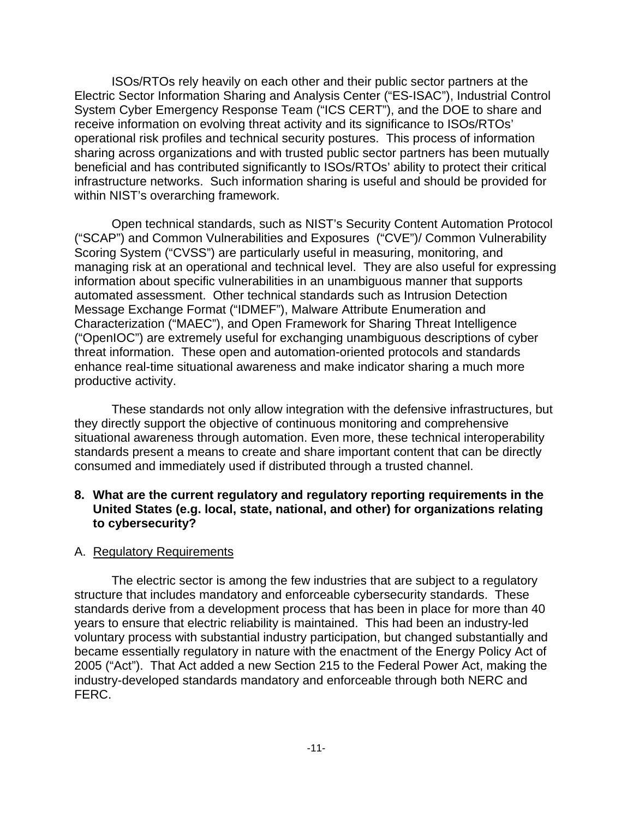ISOs/RTOs rely heavily on each other and their public sector partners at the Electric Sector Information Sharing and Analysis Center ("ES-ISAC"), Industrial Control System Cyber Emergency Response Team ("ICS CERT"), and the DOE to share and receive information on evolving threat activity and its significance to ISOs/RTOs' operational risk profiles and technical security postures. This process of information sharing across organizations and with trusted public sector partners has been mutually beneficial and has contributed significantly to ISOs/RTOs' ability to protect their critical infrastructure networks. Such information sharing is useful and should be provided for within NIST's overarching framework.

Open technical standards, such as NIST's Security Content Automation Protocol ("SCAP") and Common Vulnerabilities and Exposures ("CVE")/ Common Vulnerability Scoring System ("CVSS") are particularly useful in measuring, monitoring, and managing risk at an operational and technical level. They are also useful for expressing information about specific vulnerabilities in an unambiguous manner that supports automated assessment. Other technical standards such as Intrusion Detection Message Exchange Format ("IDMEF"), Malware Attribute Enumeration and Characterization ("MAEC"), and Open Framework for Sharing Threat Intelligence ("OpenIOC") are extremely useful for exchanging unambiguous descriptions of cyber threat information. These open and automation-oriented protocols and standards enhance real-time situational awareness and make indicator sharing a much more productive activity.

These standards not only allow integration with the defensive infrastructures, but they directly support the objective of continuous monitoring and comprehensive situational awareness through automation. Even more, these technical interoperability standards present a means to create and share important content that can be directly consumed and immediately used if distributed through a trusted channel.

## **8. What are the current regulatory and regulatory reporting requirements in the United States (e.g. local, state, national, and other) for organizations relating to cybersecurity?**

#### A. Regulatory Requirements

The electric sector is among the few industries that are subject to a regulatory structure that includes mandatory and enforceable cybersecurity standards. These standards derive from a development process that has been in place for more than 40 years to ensure that electric reliability is maintained. This had been an industry-led voluntary process with substantial industry participation, but changed substantially and became essentially regulatory in nature with the enactment of the Energy Policy Act of 2005 ("Act"). That Act added a new Section 215 to the Federal Power Act, making the industry-developed standards mandatory and enforceable through both NERC and FERC.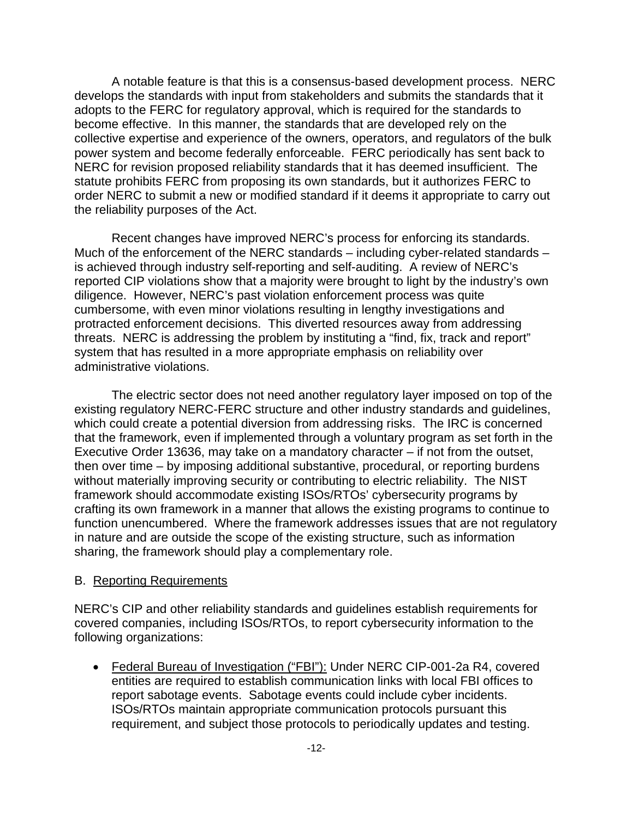A notable feature is that this is a consensus-based development process. NERC develops the standards with input from stakeholders and submits the standards that it adopts to the FERC for regulatory approval, which is required for the standards to become effective. In this manner, the standards that are developed rely on the collective expertise and experience of the owners, operators, and regulators of the bulk power system and become federally enforceable. FERC periodically has sent back to NERC for revision proposed reliability standards that it has deemed insufficient. The statute prohibits FERC from proposing its own standards, but it authorizes FERC to order NERC to submit a new or modified standard if it deems it appropriate to carry out the reliability purposes of the Act.

Recent changes have improved NERC's process for enforcing its standards. Much of the enforcement of the NERC standards – including cyber-related standards – is achieved through industry self-reporting and self-auditing. A review of NERC's reported CIP violations show that a majority were brought to light by the industry's own diligence. However, NERC's past violation enforcement process was quite cumbersome, with even minor violations resulting in lengthy investigations and protracted enforcement decisions. This diverted resources away from addressing threats. NERC is addressing the problem by instituting a "find, fix, track and report" system that has resulted in a more appropriate emphasis on reliability over administrative violations.

The electric sector does not need another regulatory layer imposed on top of the existing regulatory NERC-FERC structure and other industry standards and guidelines, which could create a potential diversion from addressing risks. The IRC is concerned that the framework, even if implemented through a voluntary program as set forth in the Executive Order 13636, may take on a mandatory character – if not from the outset, then over time – by imposing additional substantive, procedural, or reporting burdens without materially improving security or contributing to electric reliability. The NIST framework should accommodate existing ISOs/RTOs' cybersecurity programs by crafting its own framework in a manner that allows the existing programs to continue to function unencumbered. Where the framework addresses issues that are not regulatory in nature and are outside the scope of the existing structure, such as information sharing, the framework should play a complementary role.

#### B. Reporting Requirements

NERC's CIP and other reliability standards and guidelines establish requirements for covered companies, including ISOs/RTOs, to report cybersecurity information to the following organizations:

• Federal Bureau of Investigation ("FBI"): Under NERC CIP-001-2a R4, covered entities are required to establish communication links with local FBI offices to report sabotage events. Sabotage events could include cyber incidents. ISOs/RTOs maintain appropriate communication protocols pursuant this requirement, and subject those protocols to periodically updates and testing.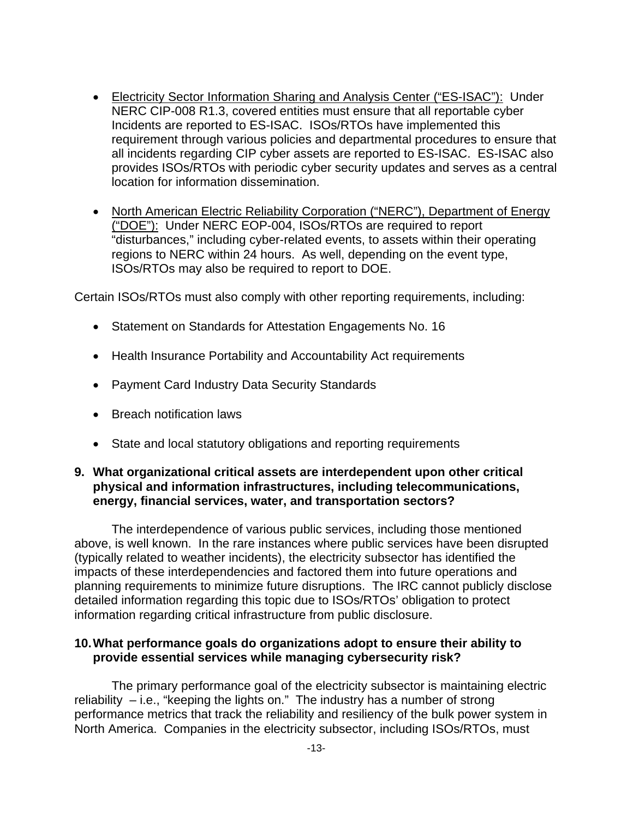- Electricity Sector Information Sharing and Analysis Center ("ES-ISAC"): Under NERC CIP-008 R1.3, covered entities must ensure that all reportable cyber Incidents are reported to ES-ISAC. ISOs/RTOs have implemented this requirement through various policies and departmental procedures to ensure that all incidents regarding CIP cyber assets are reported to ES-ISAC. ES-ISAC also provides ISOs/RTOs with periodic cyber security updates and serves as a central location for information dissemination.
- North American Electric Reliability Corporation ("NERC"), Department of Energy ("DOE"): Under NERC EOP-004, ISOs/RTOs are required to report "disturbances," including cyber-related events, to assets within their operating regions to NERC within 24 hours. As well, depending on the event type, ISOs/RTOs may also be required to report to DOE.

Certain ISOs/RTOs must also comply with other reporting requirements, including:

- Statement on Standards for Attestation Engagements No. 16
- Health Insurance Portability and Accountability Act requirements
- Payment Card Industry Data Security Standards
- Breach notification laws
- State and local statutory obligations and reporting requirements

## **9. What organizational critical assets are interdependent upon other critical physical and information infrastructures, including telecommunications, energy, financial services, water, and transportation sectors?**

The interdependence of various public services, including those mentioned above, is well known. In the rare instances where public services have been disrupted (typically related to weather incidents), the electricity subsector has identified the impacts of these interdependencies and factored them into future operations and planning requirements to minimize future disruptions. The IRC cannot publicly disclose detailed information regarding this topic due to ISOs/RTOs' obligation to protect information regarding critical infrastructure from public disclosure.

#### **10.What performance goals do organizations adopt to ensure their ability to provide essential services while managing cybersecurity risk?**

The primary performance goal of the electricity subsector is maintaining electric reliability – i.e., "keeping the lights on." The industry has a number of strong performance metrics that track the reliability and resiliency of the bulk power system in North America. Companies in the electricity subsector, including ISOs/RTOs, must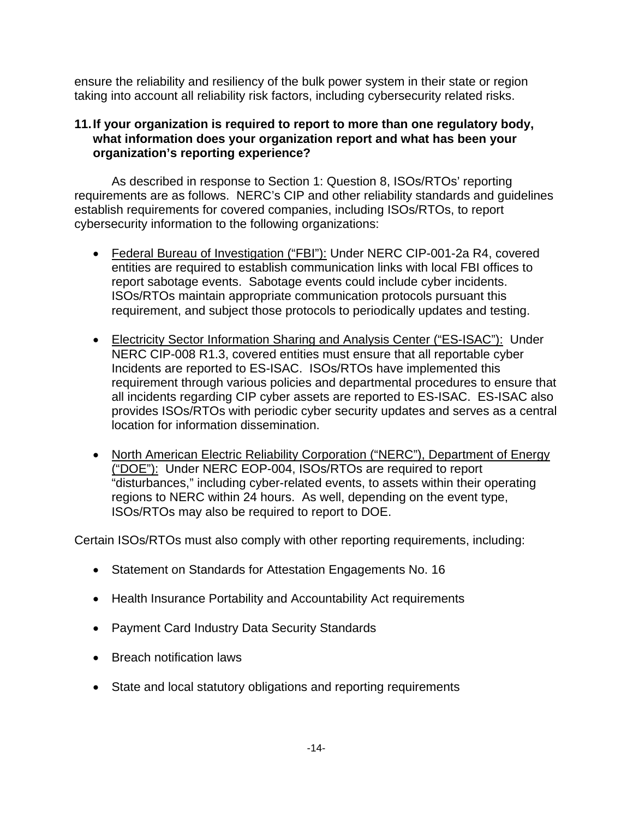ensure the reliability and resiliency of the bulk power system in their state or region taking into account all reliability risk factors, including cybersecurity related risks.

## **11.If your organization is required to report to more than one regulatory body, what information does your organization report and what has been your organization's reporting experience?**

As described in response to Section 1: Question 8, ISOs/RTOs' reporting requirements are as follows. NERC's CIP and other reliability standards and guidelines establish requirements for covered companies, including ISOs/RTOs, to report cybersecurity information to the following organizations:

- Federal Bureau of Investigation ("FBI"): Under NERC CIP-001-2a R4, covered entities are required to establish communication links with local FBI offices to report sabotage events. Sabotage events could include cyber incidents. ISOs/RTOs maintain appropriate communication protocols pursuant this requirement, and subject those protocols to periodically updates and testing.
- Electricity Sector Information Sharing and Analysis Center ("ES-ISAC"): Under NERC CIP-008 R1.3, covered entities must ensure that all reportable cyber Incidents are reported to ES-ISAC. ISOs/RTOs have implemented this requirement through various policies and departmental procedures to ensure that all incidents regarding CIP cyber assets are reported to ES-ISAC. ES-ISAC also provides ISOs/RTOs with periodic cyber security updates and serves as a central location for information dissemination.
- North American Electric Reliability Corporation ("NERC"), Department of Energy ("DOE"): Under NERC EOP-004, ISOs/RTOs are required to report "disturbances," including cyber-related events, to assets within their operating regions to NERC within 24 hours. As well, depending on the event type, ISOs/RTOs may also be required to report to DOE.

Certain ISOs/RTOs must also comply with other reporting requirements, including:

- Statement on Standards for Attestation Engagements No. 16
- Health Insurance Portability and Accountability Act requirements
- Payment Card Industry Data Security Standards
- Breach notification laws
- State and local statutory obligations and reporting requirements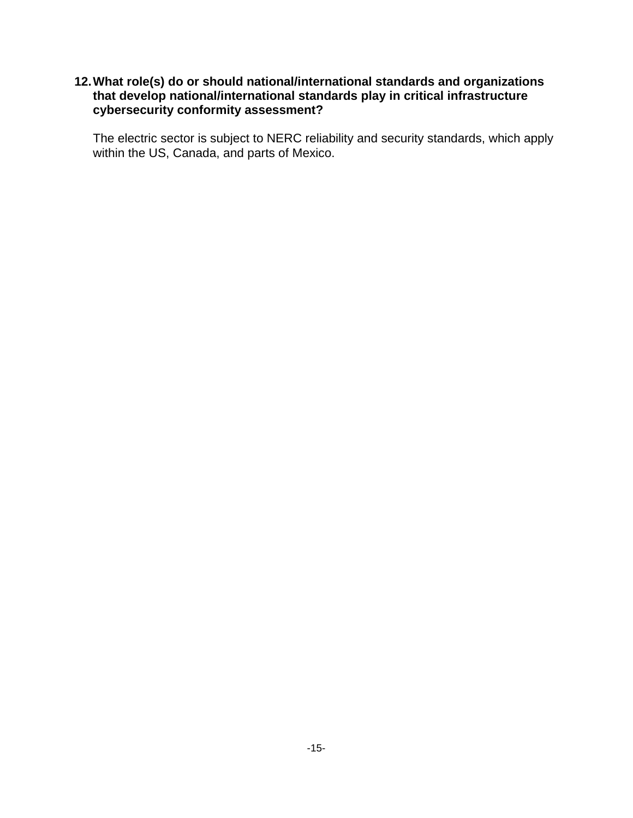## **12.What role(s) do or should national/international standards and organizations that develop national/international standards play in critical infrastructure cybersecurity conformity assessment?**

The electric sector is subject to NERC reliability and security standards, which apply within the US, Canada, and parts of Mexico.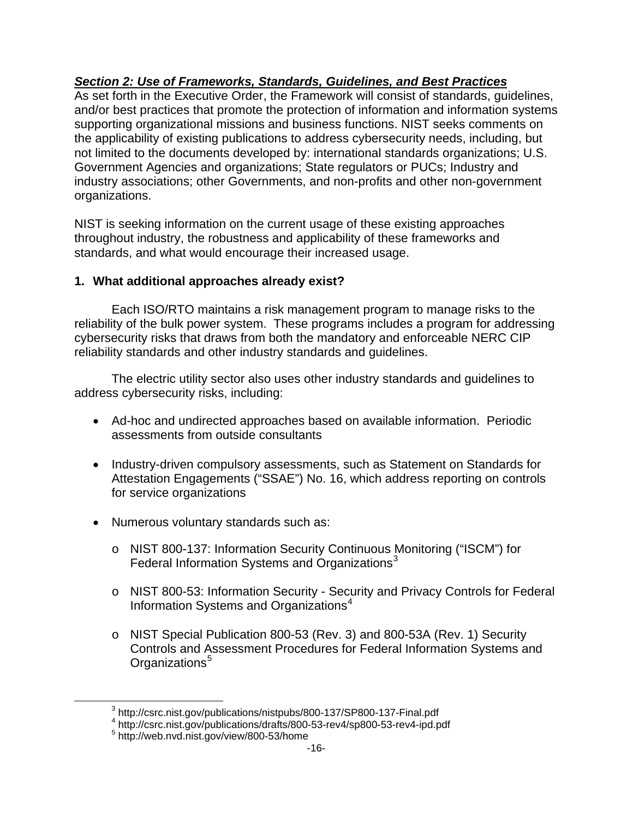# *Section 2: Use of Frameworks, Standards, Guidelines, and Best Practices*

As set forth in the Executive Order, the Framework will consist of standards, guidelines, and/or best practices that promote the protection of information and information systems supporting organizational missions and business functions. NIST seeks comments on the applicability of existing publications to address cybersecurity needs, including, but not limited to the documents developed by: international standards organizations; U.S. Government Agencies and organizations; State regulators or PUCs; Industry and industry associations; other Governments, and non-profits and other non-government organizations.

NIST is seeking information on the current usage of these existing approaches throughout industry, the robustness and applicability of these frameworks and standards, and what would encourage their increased usage.

# **1. What additional approaches already exist?**

Each ISO/RTO maintains a risk management program to manage risks to the reliability of the bulk power system. These programs includes a program for addressing cybersecurity risks that draws from both the mandatory and enforceable NERC CIP reliability standards and other industry standards and guidelines.

The electric utility sector also uses other industry standards and guidelines to address cybersecurity risks, including:

- Ad-hoc and undirected approaches based on available information. Periodic assessments from outside consultants
- Industry-driven compulsory assessments, such as Statement on Standards for Attestation Engagements ("SSAE") No. 16, which address reporting on controls for service organizations
- Numerous voluntary standards such as:
	- o NIST 800-137: Information Security Continuous Monitoring ("ISCM") for Federal Information Systems and Organizations $3$
	- o NIST 800-53: Information Security Security and Privacy Controls for Federal Information Systems and Organizations<sup>[4](#page-15-1)</sup>
	- o NIST Special Publication 800-53 (Rev. 3) and 800-53A (Rev. 1) Security Controls and Assessment Procedures for Federal Information Systems and Organizations<sup>[5](#page-15-2)</sup>

<span id="page-15-2"></span><span id="page-15-1"></span><span id="page-15-0"></span> $\overline{a}$ 

 $^3$  http://csrc.nist.gov/publications/nistpubs/800-137/SP800-137-Final.pdf<br> $^4$  http://csrc.nist.gov/publications/drafts/800-53-rev4/sp800-53-rev4-ipd.pdf

<sup>5</sup> http://web.nvd.nist.gov/view/800-53/home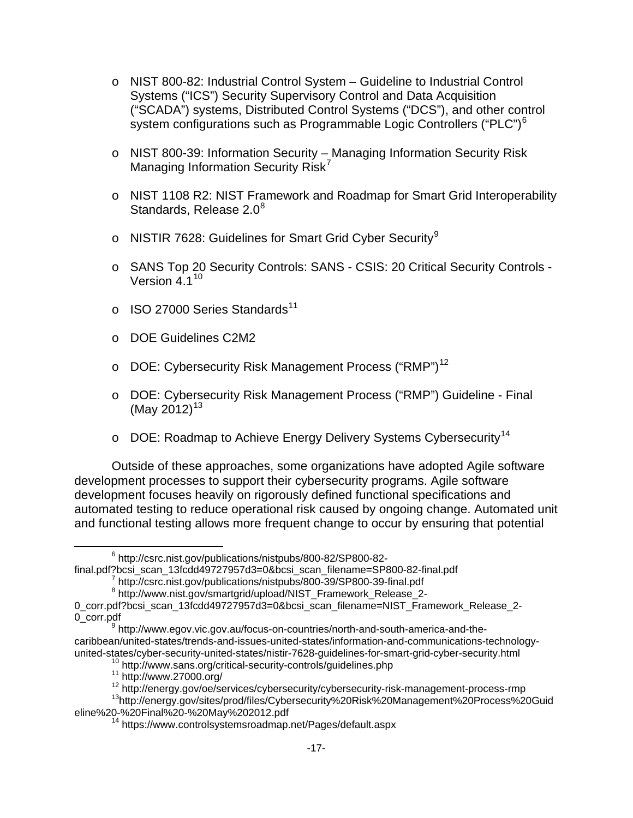- o NIST 800-82: Industrial Control System Guideline to Industrial Control Systems ("ICS") Security Supervisory Control and Data Acquisition ("SCADA") systems, Distributed Control Systems ("DCS"), and other control system configurations such as Programmable Logic Controllers ("PLC")<sup>[6](#page-16-0)</sup>
- o NIST 800-39: Information Security Managing Information Security Risk Managing Information Security Risk<sup>[7](#page-16-1)</sup>
- o NIST 1108 R2: NIST Framework and Roadmap for Smart Grid Interoperability Standards, Release  $2.0<sup>8</sup>$  $2.0<sup>8</sup>$  $2.0<sup>8</sup>$
- o NISTIR 7628: Guidelines for Smart Grid Cyber Security<sup>[9](#page-16-3)</sup>
- o SANS Top 20 Security Controls: SANS CSIS: 20 Critical Security Controls Version  $4.1^{10}$  $4.1^{10}$  $4.1^{10}$
- $\circ$  ISO 27000 Series Standards<sup>[11](#page-16-5)</sup>
- o DOE Guidelines C2M2
- o DOE: Cybersecurity Risk Management Process ("RMP")<sup>[12](#page-16-6)</sup>
- o DOE: Cybersecurity Risk Management Process ("RMP") Guideline Final (May 2012)<sup>[13](#page-16-7)</sup>
- $\circ$  DOE: Roadmap to Achieve Energy Delivery Systems Cybersecurity<sup>[14](#page-16-8)</sup>

Outside of these approaches, some organizations have adopted Agile software development processes to support their cybersecurity programs. Agile software development focuses heavily on rigorously defined functional specifications and automated testing to reduce operational risk caused by ongoing change. Automated unit and functional testing allows more frequent change to occur by ensuring that potential

<span id="page-16-0"></span> $6$  http://csrc.nist.gov/publications/nistpubs/800-82/SP800-82-<br>final.pdf?bcsi\_scan\_13fcdd49727957d3=0&bcsi\_scan\_filename=SP800-82-final.pdf

 $\overline{a}$ 

 $^7$  http://csrc.nist.gov/publications/nistpubs/800-39/SP800-39-final.pdf  $^8$  http://www.nist.gov/smartgrid/upload/NIST\_Framework\_Release\_2-

<span id="page-16-2"></span><span id="page-16-1"></span><sup>0</sup> corr.pdf?bcsi\_scan\_13fcdd49727957d3=0&bcsi\_scan\_filename=NIST\_Framework\_Release\_2-0\_corr.pdf<br><sup>9</sup> http://www.egov.vic.gov.au/focus-on-countries/north-and-south-america-and-the-

<span id="page-16-3"></span>caribbean/united-states/trends-and-issues-united-states/information-and-communications-technology-

<span id="page-16-8"></span><span id="page-16-7"></span><span id="page-16-6"></span><span id="page-16-5"></span><span id="page-16-4"></span><sup>&</sup>lt;sup>10</sup> http://www.sans.org/critical-security-controls/guidelines.php<br><sup>11</sup> http://www.27000.org/<br><sup>12</sup> http://energy.gov/oe/services/cybersecurity/cybersecurity-risk-management-process-rmp<br><sup>12</sup> http://energy.gov/sites/prod/fi

<sup>&</sup>lt;sup>14</sup> https://www.controlsystemsroadmap.net/Pages/default.aspx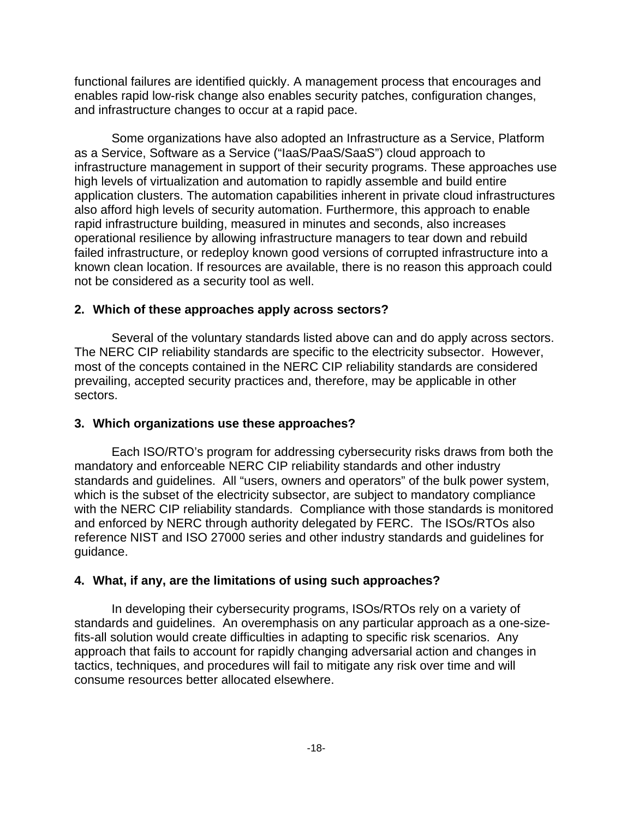functional failures are identified quickly. A management process that encourages and enables rapid low-risk change also enables security patches, configuration changes, and infrastructure changes to occur at a rapid pace.

Some organizations have also adopted an Infrastructure as a Service, Platform as a Service, Software as a Service ("IaaS/PaaS/SaaS") cloud approach to infrastructure management in support of their security programs. These approaches use high levels of virtualization and automation to rapidly assemble and build entire application clusters. The automation capabilities inherent in private cloud infrastructures also afford high levels of security automation. Furthermore, this approach to enable rapid infrastructure building, measured in minutes and seconds, also increases operational resilience by allowing infrastructure managers to tear down and rebuild failed infrastructure, or redeploy known good versions of corrupted infrastructure into a known clean location. If resources are available, there is no reason this approach could not be considered as a security tool as well.

## **2. Which of these approaches apply across sectors?**

Several of the voluntary standards listed above can and do apply across sectors. The NERC CIP reliability standards are specific to the electricity subsector. However, most of the concepts contained in the NERC CIP reliability standards are considered prevailing, accepted security practices and, therefore, may be applicable in other sectors.

# **3. Which organizations use these approaches?**

Each ISO/RTO's program for addressing cybersecurity risks draws from both the mandatory and enforceable NERC CIP reliability standards and other industry standards and guidelines. All "users, owners and operators" of the bulk power system, which is the subset of the electricity subsector, are subject to mandatory compliance with the NERC CIP reliability standards. Compliance with those standards is monitored and enforced by NERC through authority delegated by FERC. The ISOs/RTOs also reference NIST and ISO 27000 series and other industry standards and guidelines for guidance.

## **4. What, if any, are the limitations of using such approaches?**

In developing their cybersecurity programs, ISOs/RTOs rely on a variety of standards and guidelines. An overemphasis on any particular approach as a one-sizefits-all solution would create difficulties in adapting to specific risk scenarios. Any approach that fails to account for rapidly changing adversarial action and changes in tactics, techniques, and procedures will fail to mitigate any risk over time and will consume resources better allocated elsewhere.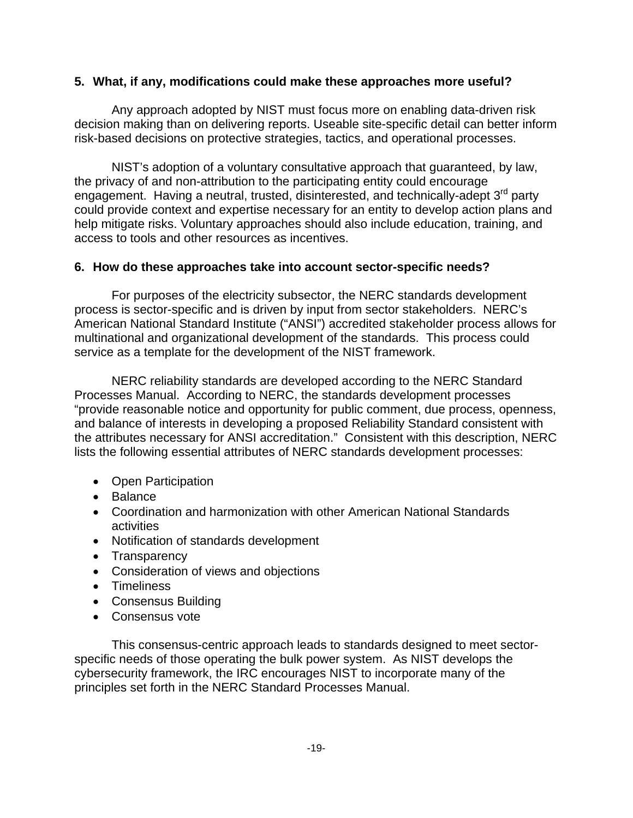## **5. What, if any, modifications could make these approaches more useful?**

Any approach adopted by NIST must focus more on enabling data-driven risk decision making than on delivering reports. Useable site-specific detail can better inform risk-based decisions on protective strategies, tactics, and operational processes.

NIST's adoption of a voluntary consultative approach that guaranteed, by law, the privacy of and non-attribution to the participating entity could encourage engagement. Having a neutral, trusted, disinterested, and technically-adept 3<sup>rd</sup> party could provide context and expertise necessary for an entity to develop action plans and help mitigate risks. Voluntary approaches should also include education, training, and access to tools and other resources as incentives.

## **6. How do these approaches take into account sector-specific needs?**

For purposes of the electricity subsector, the NERC standards development process is sector-specific and is driven by input from sector stakeholders. NERC's American National Standard Institute ("ANSI") accredited stakeholder process allows for multinational and organizational development of the standards. This process could service as a template for the development of the NIST framework.

NERC reliability standards are developed according to the NERC Standard Processes Manual. According to NERC, the standards development processes "provide reasonable notice and opportunity for public comment, due process, openness, and balance of interests in developing a proposed Reliability Standard consistent with the attributes necessary for ANSI accreditation." Consistent with this description, NERC lists the following essential attributes of NERC standards development processes:

- Open Participation
- Balance
- Coordination and harmonization with other American National Standards activities
- Notification of standards development
- Transparency
- Consideration of views and objections
- Timeliness
- Consensus Building
- Consensus vote

This consensus-centric approach leads to standards designed to meet sectorspecific needs of those operating the bulk power system. As NIST develops the cybersecurity framework, the IRC encourages NIST to incorporate many of the principles set forth in the NERC Standard Processes Manual.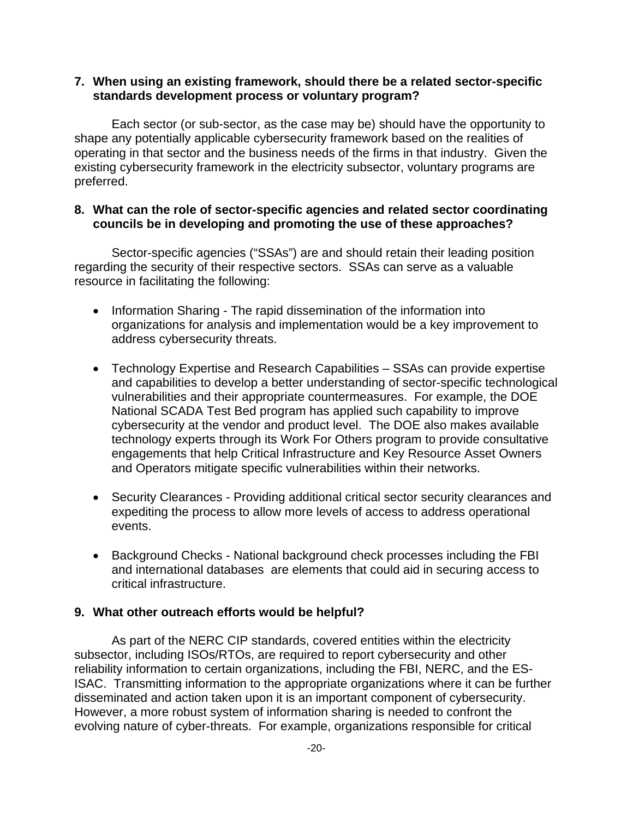## **7. When using an existing framework, should there be a related sector-specific standards development process or voluntary program?**

Each sector (or sub-sector, as the case may be) should have the opportunity to shape any potentially applicable cybersecurity framework based on the realities of operating in that sector and the business needs of the firms in that industry. Given the existing cybersecurity framework in the electricity subsector, voluntary programs are preferred.

## **8. What can the role of sector-specific agencies and related sector coordinating councils be in developing and promoting the use of these approaches?**

Sector-specific agencies ("SSAs") are and should retain their leading position regarding the security of their respective sectors. SSAs can serve as a valuable resource in facilitating the following:

- Information Sharing The rapid dissemination of the information into organizations for analysis and implementation would be a key improvement to address cybersecurity threats.
- Technology Expertise and Research Capabilities SSAs can provide expertise and capabilities to develop a better understanding of sector-specific technological vulnerabilities and their appropriate countermeasures. For example, the DOE National SCADA Test Bed program has applied such capability to improve cybersecurity at the vendor and product level. The DOE also makes available technology experts through its Work For Others program to provide consultative engagements that help Critical Infrastructure and Key Resource Asset Owners and Operators mitigate specific vulnerabilities within their networks.
- Security Clearances Providing additional critical sector security clearances and expediting the process to allow more levels of access to address operational events.
- Background Checks National background check processes including the FBI and international databases are elements that could aid in securing access to critical infrastructure.

#### **9. What other outreach efforts would be helpful?**

As part of the NERC CIP standards, covered entities within the electricity subsector, including ISOs/RTOs, are required to report cybersecurity and other reliability information to certain organizations, including the FBI, NERC, and the ES-ISAC. Transmitting information to the appropriate organizations where it can be further disseminated and action taken upon it is an important component of cybersecurity. However, a more robust system of information sharing is needed to confront the evolving nature of cyber-threats. For example, organizations responsible for critical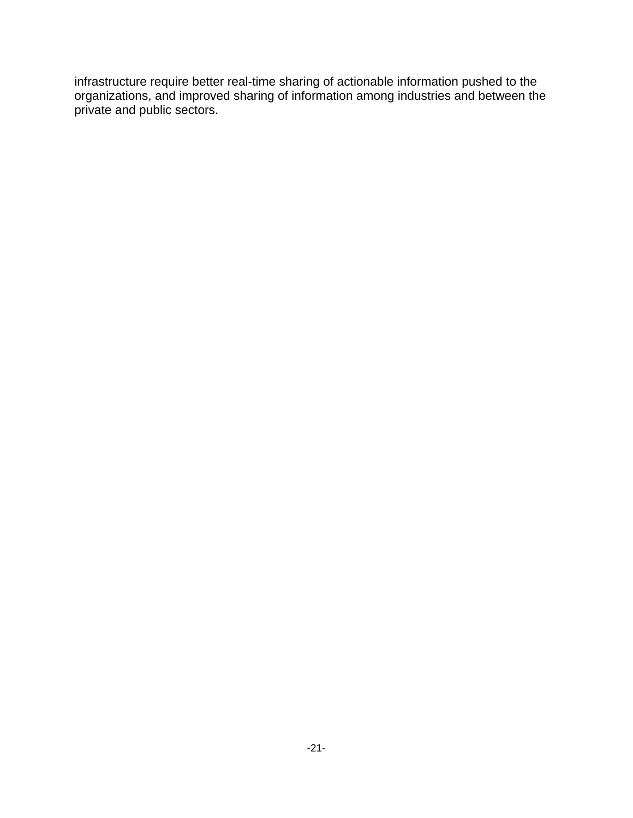infrastructure require better real-time sharing of actionable information pushed to the organizations, and improved sharing of information among industries and between the private and public sectors.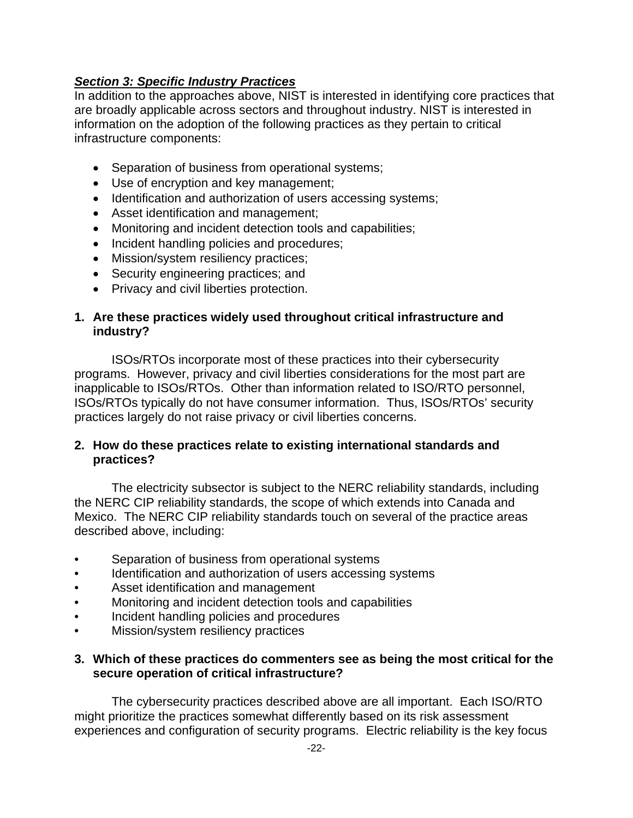# *Section 3: Specific Industry Practices*

In addition to the approaches above, NIST is interested in identifying core practices that are broadly applicable across sectors and throughout industry. NIST is interested in information on the adoption of the following practices as they pertain to critical infrastructure components:

- Separation of business from operational systems;
- Use of encryption and key management;
- Identification and authorization of users accessing systems;
- Asset identification and management;
- Monitoring and incident detection tools and capabilities;
- Incident handling policies and procedures;
- Mission/system resiliency practices;
- Security engineering practices; and
- Privacy and civil liberties protection.

## **1. Are these practices widely used throughout critical infrastructure and industry?**

ISOs/RTOs incorporate most of these practices into their cybersecurity programs. However, privacy and civil liberties considerations for the most part are inapplicable to ISOs/RTOs. Other than information related to ISO/RTO personnel, ISOs/RTOs typically do not have consumer information. Thus, ISOs/RTOs' security practices largely do not raise privacy or civil liberties concerns.

## **2. How do these practices relate to existing international standards and practices?**

The electricity subsector is subject to the NERC reliability standards, including the NERC CIP reliability standards, the scope of which extends into Canada and Mexico. The NERC CIP reliability standards touch on several of the practice areas described above, including:

- Separation of business from operational systems
- Identification and authorization of users accessing systems
- Asset identification and management
- Monitoring and incident detection tools and capabilities
- Incident handling policies and procedures
- Mission/system resiliency practices

## **3. Which of these practices do commenters see as being the most critical for the secure operation of critical infrastructure?**

The cybersecurity practices described above are all important. Each ISO/RTO might prioritize the practices somewhat differently based on its risk assessment experiences and configuration of security programs. Electric reliability is the key focus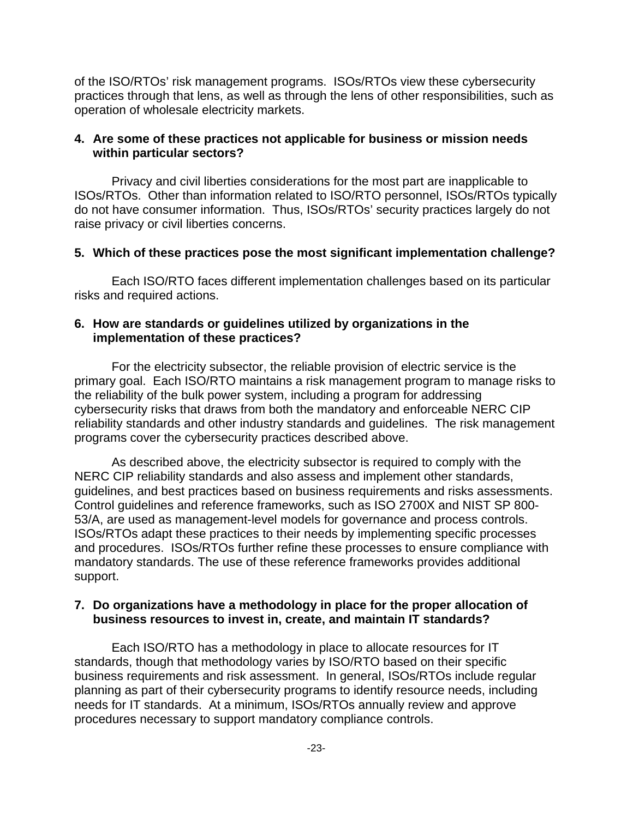of the ISO/RTOs' risk management programs. ISOs/RTOs view these cybersecurity practices through that lens, as well as through the lens of other responsibilities, such as operation of wholesale electricity markets.

## **4. Are some of these practices not applicable for business or mission needs within particular sectors?**

Privacy and civil liberties considerations for the most part are inapplicable to ISOs/RTOs. Other than information related to ISO/RTO personnel, ISOs/RTOs typically do not have consumer information. Thus, ISOs/RTOs' security practices largely do not raise privacy or civil liberties concerns.

## **5. Which of these practices pose the most significant implementation challenge?**

Each ISO/RTO faces different implementation challenges based on its particular risks and required actions.

## **6. How are standards or guidelines utilized by organizations in the implementation of these practices?**

For the electricity subsector, the reliable provision of electric service is the primary goal. Each ISO/RTO maintains a risk management program to manage risks to the reliability of the bulk power system, including a program for addressing cybersecurity risks that draws from both the mandatory and enforceable NERC CIP reliability standards and other industry standards and guidelines. The risk management programs cover the cybersecurity practices described above.

As described above, the electricity subsector is required to comply with the NERC CIP reliability standards and also assess and implement other standards, guidelines, and best practices based on business requirements and risks assessments. Control guidelines and reference frameworks, such as ISO 2700X and NIST SP 800- 53/A, are used as management-level models for governance and process controls. ISOs/RTOs adapt these practices to their needs by implementing specific processes and procedures. ISOs/RTOs further refine these processes to ensure compliance with mandatory standards. The use of these reference frameworks provides additional support.

## **7. Do organizations have a methodology in place for the proper allocation of business resources to invest in, create, and maintain IT standards?**

Each ISO/RTO has a methodology in place to allocate resources for IT standards, though that methodology varies by ISO/RTO based on their specific business requirements and risk assessment. In general, ISOs/RTOs include regular planning as part of their cybersecurity programs to identify resource needs, including needs for IT standards. At a minimum, ISOs/RTOs annually review and approve procedures necessary to support mandatory compliance controls.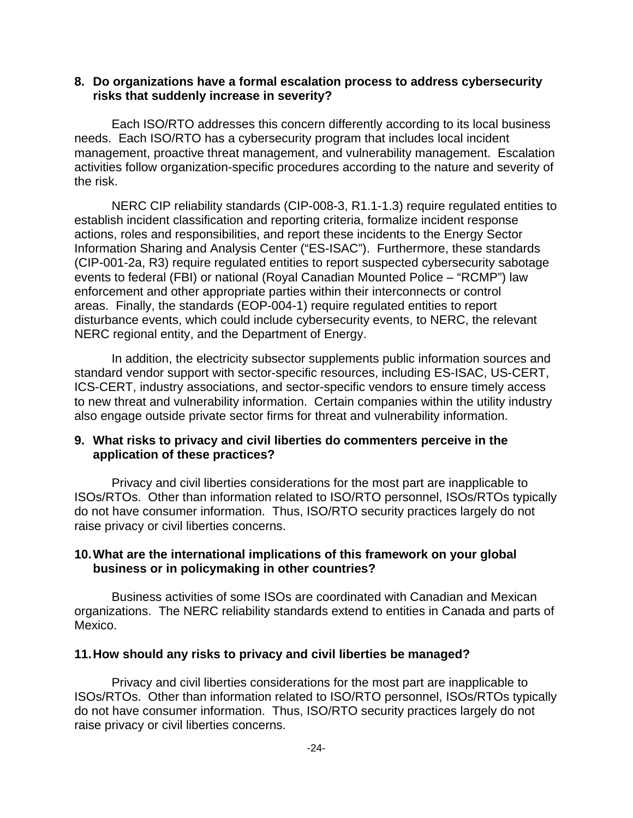## **8. Do organizations have a formal escalation process to address cybersecurity risks that suddenly increase in severity?**

Each ISO/RTO addresses this concern differently according to its local business needs. Each ISO/RTO has a cybersecurity program that includes local incident management, proactive threat management, and vulnerability management. Escalation activities follow organization-specific procedures according to the nature and severity of the risk.

NERC CIP reliability standards (CIP-008-3, R1.1-1.3) require regulated entities to establish incident classification and reporting criteria, formalize incident response actions, roles and responsibilities, and report these incidents to the Energy Sector Information Sharing and Analysis Center ("ES-ISAC"). Furthermore, these standards (CIP-001-2a, R3) require regulated entities to report suspected cybersecurity sabotage events to federal (FBI) or national (Royal Canadian Mounted Police – "RCMP") law enforcement and other appropriate parties within their interconnects or control areas. Finally, the standards (EOP-004-1) require regulated entities to report disturbance events, which could include cybersecurity events, to NERC, the relevant NERC regional entity, and the Department of Energy.

In addition, the electricity subsector supplements public information sources and standard vendor support with sector-specific resources, including ES-ISAC, US-CERT, ICS-CERT, industry associations, and sector-specific vendors to ensure timely access to new threat and vulnerability information. Certain companies within the utility industry also engage outside private sector firms for threat and vulnerability information.

## **9. What risks to privacy and civil liberties do commenters perceive in the application of these practices?**

Privacy and civil liberties considerations for the most part are inapplicable to ISOs/RTOs. Other than information related to ISO/RTO personnel, ISOs/RTOs typically do not have consumer information. Thus, ISO/RTO security practices largely do not raise privacy or civil liberties concerns.

## **10.What are the international implications of this framework on your global business or in policymaking in other countries?**

Business activities of some ISOs are coordinated with Canadian and Mexican organizations. The NERC reliability standards extend to entities in Canada and parts of Mexico.

#### **11.How should any risks to privacy and civil liberties be managed?**

Privacy and civil liberties considerations for the most part are inapplicable to ISOs/RTOs. Other than information related to ISO/RTO personnel, ISOs/RTOs typically do not have consumer information. Thus, ISO/RTO security practices largely do not raise privacy or civil liberties concerns.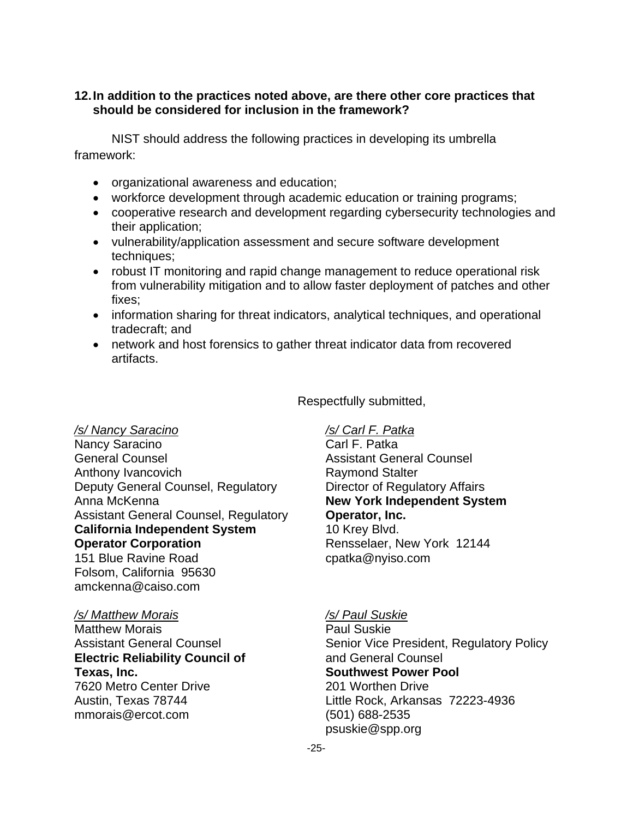## **12.In addition to the practices noted above, are there other core practices that should be considered for inclusion in the framework?**

NIST should address the following practices in developing its umbrella framework:

- organizational awareness and education;
- workforce development through academic education or training programs;
- cooperative research and development regarding cybersecurity technologies and their application;
- vulnerability/application assessment and secure software development techniques;
- robust IT monitoring and rapid change management to reduce operational risk from vulnerability mitigation and to allow faster deployment of patches and other fixes;
- information sharing for threat indicators, analytical techniques, and operational tradecraft; and
- network and host forensics to gather threat indicator data from recovered artifacts.

*/s/ Nancy Saracino /s/ Carl F. Patka* Nancy Saracino General Counsel **Assistant General Counsel** Anthony Ivancovich **Raymond Stalter** Raymond Stalter Deputy General Counsel, Regulatory **Director of Regulatory Affairs** Anna McKenna **New York Independent System**  Assistant General Counsel, Regulatory **Operator, Inc. California Independent System** 10 Krey Blvd. **Operator Corporation** Rensselaer, New York 12144 151 Blue Ravine Road compared cpatka@nyiso.com Folsom, California 95630 amckenna@caiso.com

#### */s/ Matthew Morais /s/ Paul Suskie*

Matthew Morais **Paul Suskie Electric Reliability Council of The Counsel And General Counsel Texas, Inc. Southwest Power Pool** 7620 Metro Center Drive 201 Worthen Drive mmorais@ercot.com (501) 688-2535

Respectfully submitted,

Assistant General Counsel **Senior Vice President, Regulatory Policy** Senior Vice President, Regulatory Policy Austin, Texas 78744 Little Rock, Arkansas 72223-4936 psuskie@spp.org